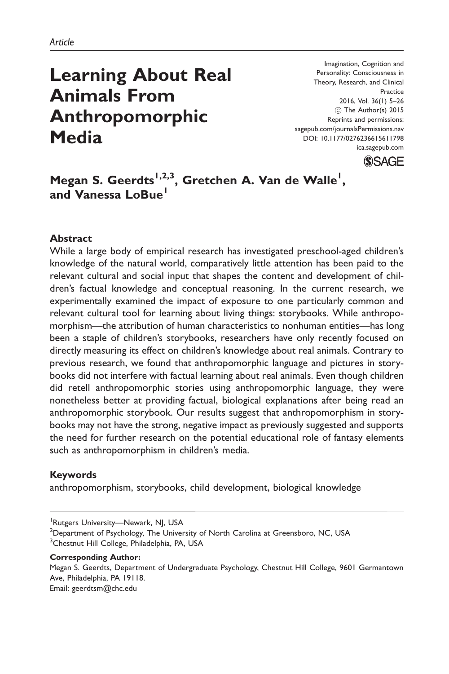# Learning About Real Animals From Anthropomorphic **Media**

Imagination, Cognition and Personality: Consciousness in Theory, Research, and Clinical Practice 2016, Vol. 36(1) 5–26  $\circledcirc$  The Author(s) 2015 Reprints and permissions: sagepub.com/journalsPermissions.nav DOI: 10.1177/0276236615611798 ica.sagepub.com



## Megan S. Geerdts<sup>1,2,3</sup>, Gretchen A. Van de Walle<sup>1</sup>, and Vanessa LoBue<sup>1</sup>

#### Abstract

While a large body of empirical research has investigated preschool-aged children's knowledge of the natural world, comparatively little attention has been paid to the relevant cultural and social input that shapes the content and development of children's factual knowledge and conceptual reasoning. In the current research, we experimentally examined the impact of exposure to one particularly common and relevant cultural tool for learning about living things: storybooks. While anthropomorphism—the attribution of human characteristics to nonhuman entities—has long been a staple of children's storybooks, researchers have only recently focused on directly measuring its effect on children's knowledge about real animals. Contrary to previous research, we found that anthropomorphic language and pictures in storybooks did not interfere with factual learning about real animals. Even though children did retell anthropomorphic stories using anthropomorphic language, they were nonetheless better at providing factual, biological explanations after being read an anthropomorphic storybook. Our results suggest that anthropomorphism in storybooks may not have the strong, negative impact as previously suggested and supports the need for further research on the potential educational role of fantasy elements such as anthropomorphism in children's media.

#### Keywords

anthropomorphism, storybooks, child development, biological knowledge

#### Corresponding Author:

Megan S. Geerdts, Department of Undergraduate Psychology, Chestnut Hill College, 9601 Germantown Ave, Philadelphia, PA 19118. Email: geerdtsm@chc.edu

<sup>&</sup>lt;sup>1</sup> Rutgers University-Newark, NJ, USA

<sup>&</sup>lt;sup>2</sup>Department of Psychology, The University of North Carolina at Greensboro, NC, USA <sup>3</sup> Chestnut Hill College, Philadelphia, PA, USA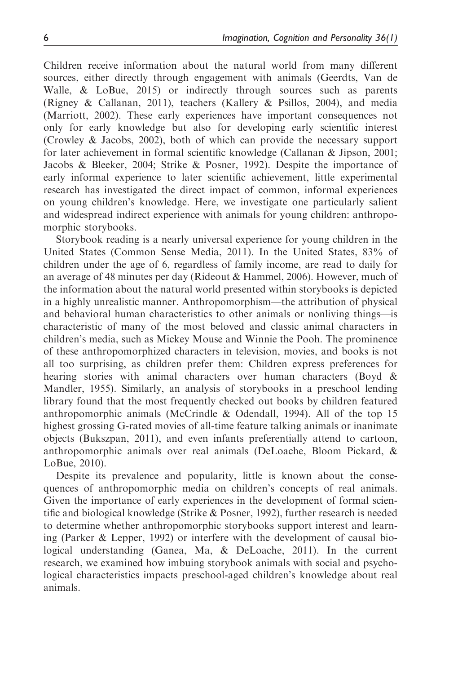Children receive information about the natural world from many different sources, either directly through engagement with animals (Geerdts, Van de Walle, & LoBue, 2015) or indirectly through sources such as parents (Rigney & Callanan, 2011), teachers (Kallery & Psillos, 2004), and media (Marriott, 2002). These early experiences have important consequences not only for early knowledge but also for developing early scientific interest (Crowley & Jacobs, 2002), both of which can provide the necessary support for later achievement in formal scientific knowledge (Callanan & Jipson, 2001; Jacobs & Bleeker, 2004; Strike & Posner, 1992). Despite the importance of early informal experience to later scientific achievement, little experimental research has investigated the direct impact of common, informal experiences on young children's knowledge. Here, we investigate one particularly salient and widespread indirect experience with animals for young children: anthropomorphic storybooks.

Storybook reading is a nearly universal experience for young children in the United States (Common Sense Media, 2011). In the United States, 83% of children under the age of 6, regardless of family income, are read to daily for an average of 48 minutes per day (Rideout & Hammel, 2006). However, much of the information about the natural world presented within storybooks is depicted in a highly unrealistic manner. Anthropomorphism—the attribution of physical and behavioral human characteristics to other animals or nonliving things—is characteristic of many of the most beloved and classic animal characters in children's media, such as Mickey Mouse and Winnie the Pooh. The prominence of these anthropomorphized characters in television, movies, and books is not all too surprising, as children prefer them: Children express preferences for hearing stories with animal characters over human characters (Boyd & Mandler, 1955). Similarly, an analysis of storybooks in a preschool lending library found that the most frequently checked out books by children featured anthropomorphic animals (McCrindle & Odendall, 1994). All of the top 15 highest grossing G-rated movies of all-time feature talking animals or inanimate objects (Bukszpan, 2011), and even infants preferentially attend to cartoon, anthropomorphic animals over real animals (DeLoache, Bloom Pickard, & LoBue, 2010).

Despite its prevalence and popularity, little is known about the consequences of anthropomorphic media on children's concepts of real animals. Given the importance of early experiences in the development of formal scientific and biological knowledge (Strike & Posner, 1992), further research is needed to determine whether anthropomorphic storybooks support interest and learning (Parker & Lepper, 1992) or interfere with the development of causal biological understanding (Ganea, Ma, & DeLoache, 2011). In the current research, we examined how imbuing storybook animals with social and psychological characteristics impacts preschool-aged children's knowledge about real animals.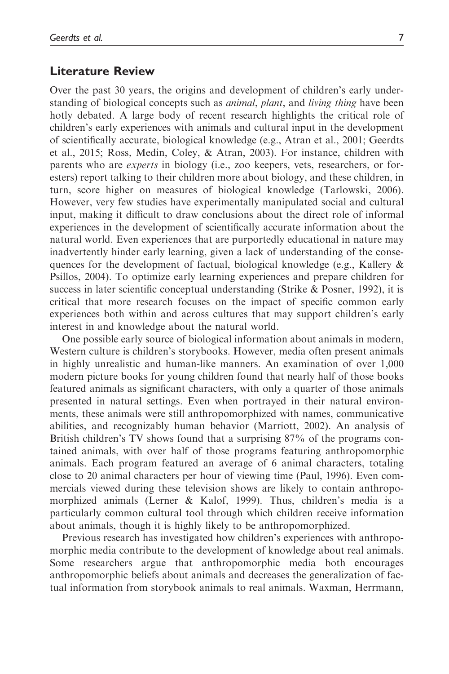#### Literature Review

Over the past 30 years, the origins and development of children's early understanding of biological concepts such as *animal*, *plant*, and *living thing* have been hotly debated. A large body of recent research highlights the critical role of children's early experiences with animals and cultural input in the development of scientifically accurate, biological knowledge (e.g., Atran et al., 2001; Geerdts et al., 2015; Ross, Medin, Coley, & Atran, 2003). For instance, children with parents who are experts in biology (i.e., zoo keepers, vets, researchers, or foresters) report talking to their children more about biology, and these children, in turn, score higher on measures of biological knowledge (Tarlowski, 2006). However, very few studies have experimentally manipulated social and cultural input, making it difficult to draw conclusions about the direct role of informal experiences in the development of scientifically accurate information about the natural world. Even experiences that are purportedly educational in nature may inadvertently hinder early learning, given a lack of understanding of the consequences for the development of factual, biological knowledge (e.g., Kallery & Psillos, 2004). To optimize early learning experiences and prepare children for success in later scientific conceptual understanding (Strike & Posner, 1992), it is critical that more research focuses on the impact of specific common early experiences both within and across cultures that may support children's early interest in and knowledge about the natural world.

One possible early source of biological information about animals in modern, Western culture is children's storybooks. However, media often present animals in highly unrealistic and human-like manners. An examination of over 1,000 modern picture books for young children found that nearly half of those books featured animals as significant characters, with only a quarter of those animals presented in natural settings. Even when portrayed in their natural environments, these animals were still anthropomorphized with names, communicative abilities, and recognizably human behavior (Marriott, 2002). An analysis of British children's TV shows found that a surprising 87% of the programs contained animals, with over half of those programs featuring anthropomorphic animals. Each program featured an average of 6 animal characters, totaling close to 20 animal characters per hour of viewing time (Paul, 1996). Even commercials viewed during these television shows are likely to contain anthropomorphized animals (Lerner & Kalof, 1999). Thus, children's media is a particularly common cultural tool through which children receive information about animals, though it is highly likely to be anthropomorphized.

Previous research has investigated how children's experiences with anthropomorphic media contribute to the development of knowledge about real animals. Some researchers argue that anthropomorphic media both encourages anthropomorphic beliefs about animals and decreases the generalization of factual information from storybook animals to real animals. Waxman, Herrmann,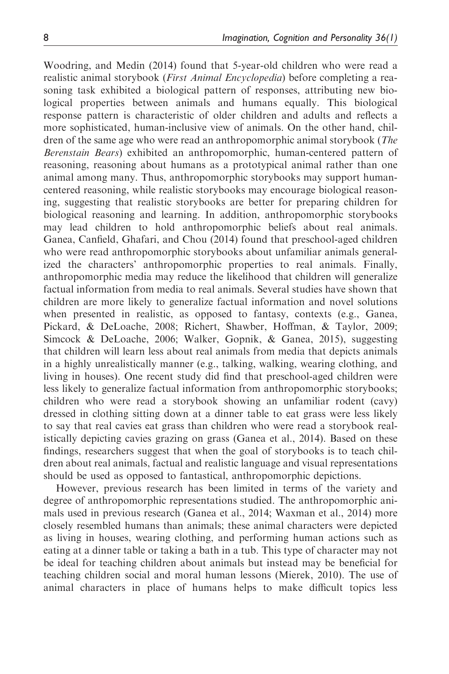Woodring, and Medin (2014) found that 5-year-old children who were read a realistic animal storybook (First Animal Encyclopedia) before completing a reasoning task exhibited a biological pattern of responses, attributing new biological properties between animals and humans equally. This biological response pattern is characteristic of older children and adults and reflects a more sophisticated, human-inclusive view of animals. On the other hand, children of the same age who were read an anthropomorphic animal storybook (*The* Berenstain Bears) exhibited an anthropomorphic, human-centered pattern of reasoning, reasoning about humans as a prototypical animal rather than one animal among many. Thus, anthropomorphic storybooks may support humancentered reasoning, while realistic storybooks may encourage biological reasoning, suggesting that realistic storybooks are better for preparing children for biological reasoning and learning. In addition, anthropomorphic storybooks may lead children to hold anthropomorphic beliefs about real animals. Ganea, Canfield, Ghafari, and Chou (2014) found that preschool-aged children who were read anthropomorphic storybooks about unfamiliar animals generalized the characters' anthropomorphic properties to real animals. Finally, anthropomorphic media may reduce the likelihood that children will generalize factual information from media to real animals. Several studies have shown that children are more likely to generalize factual information and novel solutions when presented in realistic, as opposed to fantasy, contexts (e.g., Ganea, Pickard, & DeLoache, 2008; Richert, Shawber, Hoffman, & Taylor, 2009; Simcock & DeLoache, 2006; Walker, Gopnik, & Ganea, 2015), suggesting that children will learn less about real animals from media that depicts animals in a highly unrealistically manner (e.g., talking, walking, wearing clothing, and living in houses). One recent study did find that preschool-aged children were less likely to generalize factual information from anthropomorphic storybooks; children who were read a storybook showing an unfamiliar rodent (cavy) dressed in clothing sitting down at a dinner table to eat grass were less likely to say that real cavies eat grass than children who were read a storybook realistically depicting cavies grazing on grass (Ganea et al., 2014). Based on these findings, researchers suggest that when the goal of storybooks is to teach children about real animals, factual and realistic language and visual representations should be used as opposed to fantastical, anthropomorphic depictions.

However, previous research has been limited in terms of the variety and degree of anthropomorphic representations studied. The anthropomorphic animals used in previous research (Ganea et al., 2014; Waxman et al., 2014) more closely resembled humans than animals; these animal characters were depicted as living in houses, wearing clothing, and performing human actions such as eating at a dinner table or taking a bath in a tub. This type of character may not be ideal for teaching children about animals but instead may be beneficial for teaching children social and moral human lessons (Mierek, 2010). The use of animal characters in place of humans helps to make difficult topics less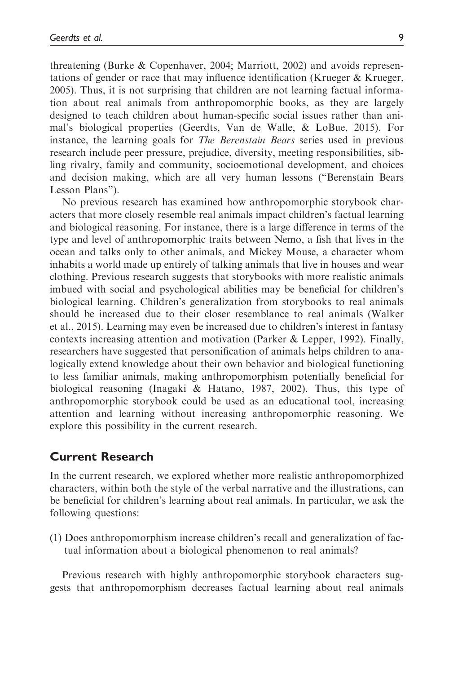threatening (Burke & Copenhaver, 2004; Marriott, 2002) and avoids representations of gender or race that may influence identification (Krueger & Krueger, 2005). Thus, it is not surprising that children are not learning factual information about real animals from anthropomorphic books, as they are largely designed to teach children about human-specific social issues rather than animal's biological properties (Geerdts, Van de Walle, & LoBue, 2015). For instance, the learning goals for The Berenstain Bears series used in previous research include peer pressure, prejudice, diversity, meeting responsibilities, sibling rivalry, family and community, socioemotional development, and choices and decision making, which are all very human lessons ("Berenstain Bears Lesson Plans").

No previous research has examined how anthropomorphic storybook characters that more closely resemble real animals impact children's factual learning and biological reasoning. For instance, there is a large difference in terms of the type and level of anthropomorphic traits between Nemo, a fish that lives in the ocean and talks only to other animals, and Mickey Mouse, a character whom inhabits a world made up entirely of talking animals that live in houses and wear clothing. Previous research suggests that storybooks with more realistic animals imbued with social and psychological abilities may be beneficial for children's biological learning. Children's generalization from storybooks to real animals should be increased due to their closer resemblance to real animals (Walker et al., 2015). Learning may even be increased due to children's interest in fantasy contexts increasing attention and motivation (Parker & Lepper, 1992). Finally, researchers have suggested that personification of animals helps children to analogically extend knowledge about their own behavior and biological functioning to less familiar animals, making anthropomorphism potentially beneficial for biological reasoning (Inagaki & Hatano, 1987, 2002). Thus, this type of anthropomorphic storybook could be used as an educational tool, increasing attention and learning without increasing anthropomorphic reasoning. We explore this possibility in the current research.

#### Current Research

In the current research, we explored whether more realistic anthropomorphized characters, within both the style of the verbal narrative and the illustrations, can be beneficial for children's learning about real animals. In particular, we ask the following questions:

(1) Does anthropomorphism increase children's recall and generalization of factual information about a biological phenomenon to real animals?

Previous research with highly anthropomorphic storybook characters suggests that anthropomorphism decreases factual learning about real animals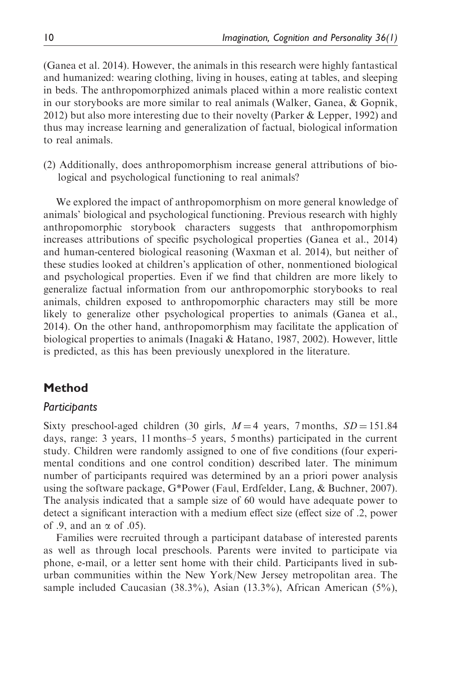(Ganea et al. 2014). However, the animals in this research were highly fantastical and humanized: wearing clothing, living in houses, eating at tables, and sleeping in beds. The anthropomorphized animals placed within a more realistic context in our storybooks are more similar to real animals (Walker, Ganea, & Gopnik, 2012) but also more interesting due to their novelty (Parker & Lepper, 1992) and thus may increase learning and generalization of factual, biological information to real animals.

(2) Additionally, does anthropomorphism increase general attributions of biological and psychological functioning to real animals?

We explored the impact of anthropomorphism on more general knowledge of animals' biological and psychological functioning. Previous research with highly anthropomorphic storybook characters suggests that anthropomorphism increases attributions of specific psychological properties (Ganea et al., 2014) and human-centered biological reasoning (Waxman et al. 2014), but neither of these studies looked at children's application of other, nonmentioned biological and psychological properties. Even if we find that children are more likely to generalize factual information from our anthropomorphic storybooks to real animals, children exposed to anthropomorphic characters may still be more likely to generalize other psychological properties to animals (Ganea et al., 2014). On the other hand, anthropomorphism may facilitate the application of biological properties to animals (Inagaki & Hatano, 1987, 2002). However, little is predicted, as this has been previously unexplored in the literature.

## Method

#### Participants

Sixty preschool-aged children (30 girls,  $M=4$  years, 7 months,  $SD = 151.84$ days, range: 3 years, 11 months–5 years, 5 months) participated in the current study. Children were randomly assigned to one of five conditions (four experimental conditions and one control condition) described later. The minimum number of participants required was determined by an a priori power analysis using the software package, G\*Power (Faul, Erdfelder, Lang, & Buchner, 2007). The analysis indicated that a sample size of 60 would have adequate power to detect a significant interaction with a medium effect size (effect size of .2, power of  $.9$ , and an  $\alpha$  of  $.05$ ).

Families were recruited through a participant database of interested parents as well as through local preschools. Parents were invited to participate via phone, e-mail, or a letter sent home with their child. Participants lived in suburban communities within the New York/New Jersey metropolitan area. The sample included Caucasian (38.3%), Asian (13.3%), African American (5%),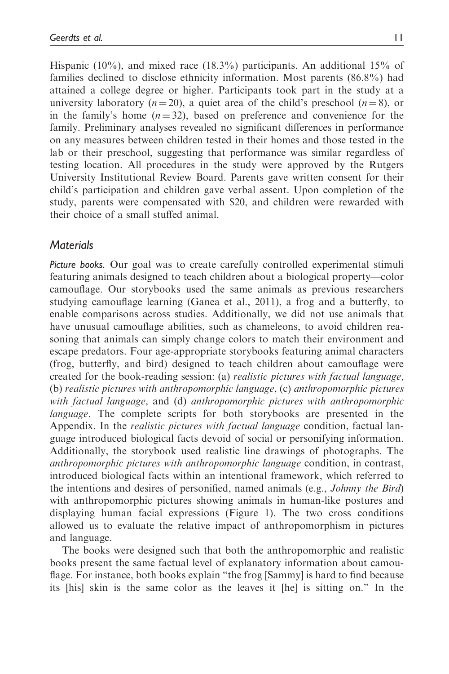Hispanic (10%), and mixed race (18.3%) participants. An additional 15% of families declined to disclose ethnicity information. Most parents (86.8%) had attained a college degree or higher. Participants took part in the study at a university laboratory ( $n = 20$ ), a quiet area of the child's preschool ( $n = 8$ ), or in the family's home  $(n = 32)$ , based on preference and convenience for the family. Preliminary analyses revealed no significant differences in performance on any measures between children tested in their homes and those tested in the lab or their preschool, suggesting that performance was similar regardless of testing location. All procedures in the study were approved by the Rutgers University Institutional Review Board. Parents gave written consent for their child's participation and children gave verbal assent. Upon completion of the study, parents were compensated with \$20, and children were rewarded with their choice of a small stuffed animal.

#### **Materials**

Picture books. Our goal was to create carefully controlled experimental stimuli featuring animals designed to teach children about a biological property—color camouflage. Our storybooks used the same animals as previous researchers studying camouflage learning (Ganea et al., 2011), a frog and a butterfly, to enable comparisons across studies. Additionally, we did not use animals that have unusual camouflage abilities, such as chameleons, to avoid children reasoning that animals can simply change colors to match their environment and escape predators. Four age-appropriate storybooks featuring animal characters (frog, butterfly, and bird) designed to teach children about camouflage were created for the book-reading session: (a) realistic pictures with factual language, (b) realistic pictures with anthropomorphic language, (c) anthropomorphic pictures with factual language, and (d) anthropomorphic pictures with anthropomorphic language. The complete scripts for both storybooks are presented in the Appendix. In the realistic pictures with factual language condition, factual language introduced biological facts devoid of social or personifying information. Additionally, the storybook used realistic line drawings of photographs. The anthropomorphic pictures with anthropomorphic language condition, in contrast, introduced biological facts within an intentional framework, which referred to the intentions and desires of personified, named animals (e.g., Johnny the Bird) with anthropomorphic pictures showing animals in human-like postures and displaying human facial expressions (Figure 1). The two cross conditions allowed us to evaluate the relative impact of anthropomorphism in pictures and language.

The books were designed such that both the anthropomorphic and realistic books present the same factual level of explanatory information about camouflage. For instance, both books explain "the frog [Sammy] is hard to find because its [his] skin is the same color as the leaves it [he] is sitting on." In the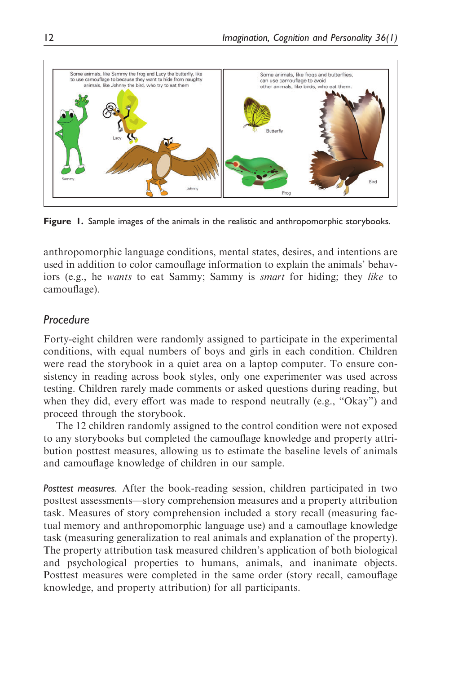

**Figure 1.** Sample images of the animals in the realistic and anthropomorphic storybooks.

anthropomorphic language conditions, mental states, desires, and intentions are used in addition to color camouflage information to explain the animals' behaviors (e.g., he wants to eat Sammy; Sammy is smart for hiding; they like to camouflage).

## Procedure

Forty-eight children were randomly assigned to participate in the experimental conditions, with equal numbers of boys and girls in each condition. Children were read the storybook in a quiet area on a laptop computer. To ensure consistency in reading across book styles, only one experimenter was used across testing. Children rarely made comments or asked questions during reading, but when they did, every effort was made to respond neutrally (e.g., "Okay") and proceed through the storybook.

The 12 children randomly assigned to the control condition were not exposed to any storybooks but completed the camouflage knowledge and property attribution posttest measures, allowing us to estimate the baseline levels of animals and camouflage knowledge of children in our sample.

Posttest measures. After the book-reading session, children participated in two posttest assessments—story comprehension measures and a property attribution task. Measures of story comprehension included a story recall (measuring factual memory and anthropomorphic language use) and a camouflage knowledge task (measuring generalization to real animals and explanation of the property). The property attribution task measured children's application of both biological and psychological properties to humans, animals, and inanimate objects. Posttest measures were completed in the same order (story recall, camouflage knowledge, and property attribution) for all participants.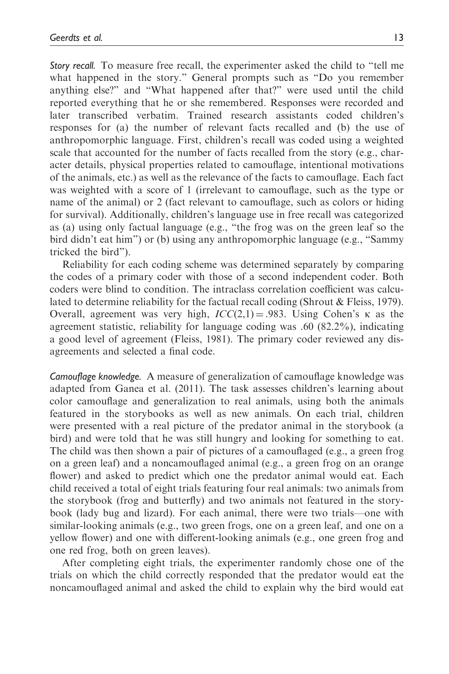Story recall. To measure free recall, the experimenter asked the child to "tell me what happened in the story." General prompts such as "Do you remember anything else?" and "What happened after that?" were used until the child reported everything that he or she remembered. Responses were recorded and later transcribed verbatim. Trained research assistants coded children's responses for (a) the number of relevant facts recalled and (b) the use of anthropomorphic language. First, children's recall was coded using a weighted scale that accounted for the number of facts recalled from the story (e.g., character details, physical properties related to camouflage, intentional motivations of the animals, etc.) as well as the relevance of the facts to camouflage. Each fact was weighted with a score of 1 (irrelevant to camouflage, such as the type or name of the animal) or 2 (fact relevant to camouflage, such as colors or hiding for survival). Additionally, children's language use in free recall was categorized as (a) using only factual language (e.g., "the frog was on the green leaf so the bird didn't eat him") or (b) using any anthropomorphic language (e.g., "Sammy tricked the bird").

Reliability for each coding scheme was determined separately by comparing the codes of a primary coder with those of a second independent coder. Both coders were blind to condition. The intraclass correlation coefficient was calculated to determine reliability for the factual recall coding (Shrout & Fleiss, 1979). Overall, agreement was very high,  $ICC(2,1) = .983$ . Using Cohen's k as the agreement statistic, reliability for language coding was .60 (82.2%), indicating a good level of agreement (Fleiss, 1981). The primary coder reviewed any disagreements and selected a final code.

Camouflage knowledge. A measure of generalization of camouflage knowledge was adapted from Ganea et al. (2011). The task assesses children's learning about color camouflage and generalization to real animals, using both the animals featured in the storybooks as well as new animals. On each trial, children were presented with a real picture of the predator animal in the storybook (a bird) and were told that he was still hungry and looking for something to eat. The child was then shown a pair of pictures of a camouflaged (e.g., a green frog on a green leaf) and a noncamouflaged animal (e.g., a green frog on an orange flower) and asked to predict which one the predator animal would eat. Each child received a total of eight trials featuring four real animals: two animals from the storybook (frog and butterfly) and two animals not featured in the storybook (lady bug and lizard). For each animal, there were two trials—one with similar-looking animals (e.g., two green frogs, one on a green leaf, and one on a yellow flower) and one with different-looking animals (e.g., one green frog and one red frog, both on green leaves).

After completing eight trials, the experimenter randomly chose one of the trials on which the child correctly responded that the predator would eat the noncamouflaged animal and asked the child to explain why the bird would eat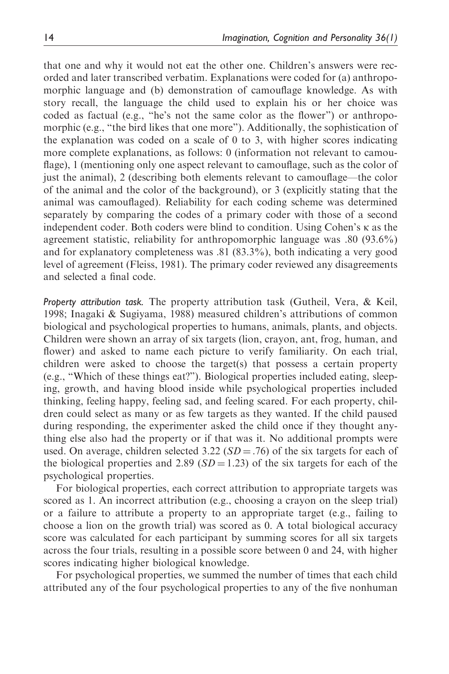that one and why it would not eat the other one. Children's answers were recorded and later transcribed verbatim. Explanations were coded for (a) anthropomorphic language and (b) demonstration of camouflage knowledge. As with story recall, the language the child used to explain his or her choice was coded as factual (e.g., "he's not the same color as the flower") or anthropomorphic (e.g., "the bird likes that one more"). Additionally, the sophistication of the explanation was coded on a scale of 0 to 3, with higher scores indicating more complete explanations, as follows: 0 (information not relevant to camouflage), 1 (mentioning only one aspect relevant to camouflage, such as the color of just the animal), 2 (describing both elements relevant to camouflage—the color of the animal and the color of the background), or 3 (explicitly stating that the animal was camouflaged). Reliability for each coding scheme was determined separately by comparing the codes of a primary coder with those of a second independent coder. Both coders were blind to condition. Using Cohen's k as the agreement statistic, reliability for anthropomorphic language was .80 (93.6%) and for explanatory completeness was .81 (83.3%), both indicating a very good level of agreement (Fleiss, 1981). The primary coder reviewed any disagreements and selected a final code.

Property attribution task. The property attribution task (Gutheil, Vera, & Keil, 1998; Inagaki & Sugiyama, 1988) measured children's attributions of common biological and psychological properties to humans, animals, plants, and objects. Children were shown an array of six targets (lion, crayon, ant, frog, human, and flower) and asked to name each picture to verify familiarity. On each trial, children were asked to choose the target(s) that possess a certain property (e.g., "Which of these things eat?"). Biological properties included eating, sleeping, growth, and having blood inside while psychological properties included thinking, feeling happy, feeling sad, and feeling scared. For each property, children could select as many or as few targets as they wanted. If the child paused during responding, the experimenter asked the child once if they thought anything else also had the property or if that was it. No additional prompts were used. On average, children selected 3.22 ( $SD = .76$ ) of the six targets for each of the biological properties and 2.89 ( $SD = 1.23$ ) of the six targets for each of the psychological properties.

For biological properties, each correct attribution to appropriate targets was scored as 1. An incorrect attribution (e.g., choosing a crayon on the sleep trial) or a failure to attribute a property to an appropriate target (e.g., failing to choose a lion on the growth trial) was scored as 0. A total biological accuracy score was calculated for each participant by summing scores for all six targets across the four trials, resulting in a possible score between 0 and 24, with higher scores indicating higher biological knowledge.

For psychological properties, we summed the number of times that each child attributed any of the four psychological properties to any of the five nonhuman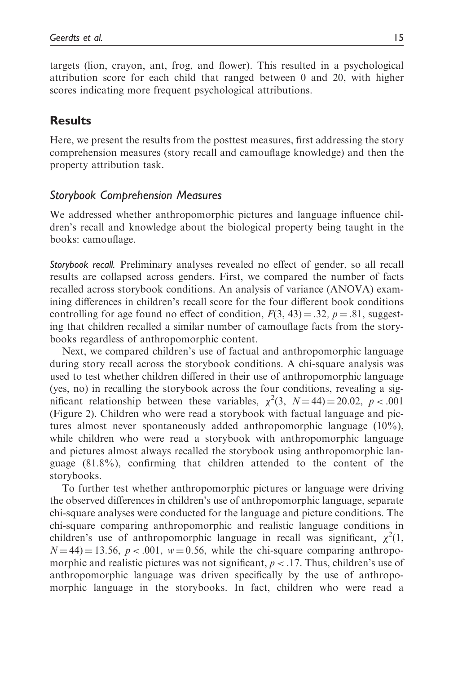targets (lion, crayon, ant, frog, and flower). This resulted in a psychological attribution score for each child that ranged between 0 and 20, with higher scores indicating more frequent psychological attributions.

#### **Results**

Here, we present the results from the posttest measures, first addressing the story comprehension measures (story recall and camouflage knowledge) and then the property attribution task.

#### Storybook Comprehension Measures

We addressed whether anthropomorphic pictures and language influence children's recall and knowledge about the biological property being taught in the books: camouflage.

Storybook recall. Preliminary analyses revealed no effect of gender, so all recall results are collapsed across genders. First, we compared the number of facts recalled across storybook conditions. An analysis of variance (ANOVA) examining differences in children's recall score for the four different book conditions controlling for age found no effect of condition,  $F(3, 43) = .32$ ,  $p = .81$ , suggesting that children recalled a similar number of camouflage facts from the storybooks regardless of anthropomorphic content.

Next, we compared children's use of factual and anthropomorphic language during story recall across the storybook conditions. A chi-square analysis was used to test whether children differed in their use of anthropomorphic language (yes, no) in recalling the storybook across the four conditions, revealing a significant relationship between these variables,  $\chi^2(3, N=44) = 20.02, p < .001$ (Figure 2). Children who were read a storybook with factual language and pictures almost never spontaneously added anthropomorphic language (10%), while children who were read a storybook with anthropomorphic language and pictures almost always recalled the storybook using anthropomorphic language (81.8%), confirming that children attended to the content of the storybooks.

To further test whether anthropomorphic pictures or language were driving the observed differences in children's use of anthropomorphic language, separate chi-square analyses were conducted for the language and picture conditions. The chi-square comparing anthropomorphic and realistic language conditions in children's use of anthropomorphic language in recall was significant,  $\chi^2(1)$ ,  $N = 44$ ) = 13.56, p < .001, w = 0.56, while the chi-square comparing anthropomorphic and realistic pictures was not significant,  $p < 0.17$ . Thus, children's use of anthropomorphic language was driven specifically by the use of anthropomorphic language in the storybooks. In fact, children who were read a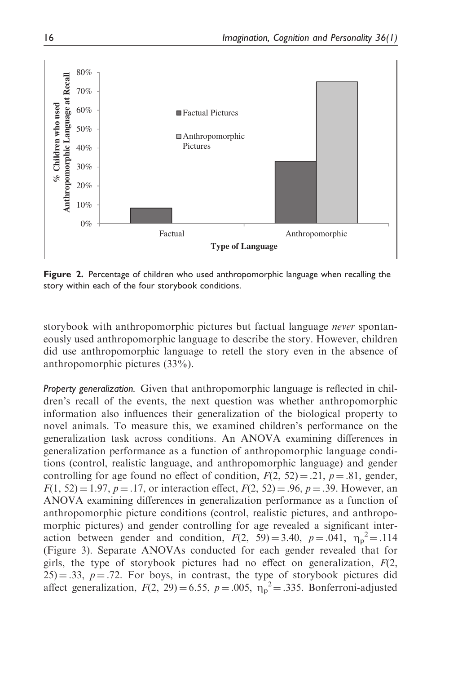

Figure 2. Percentage of children who used anthropomorphic language when recalling the story within each of the four storybook conditions.

storybook with anthropomorphic pictures but factual language *never* spontaneously used anthropomorphic language to describe the story. However, children did use anthropomorphic language to retell the story even in the absence of anthropomorphic pictures (33%).

Property generalization. Given that anthropomorphic language is reflected in children's recall of the events, the next question was whether anthropomorphic information also influences their generalization of the biological property to novel animals. To measure this, we examined children's performance on the generalization task across conditions. An ANOVA examining differences in generalization performance as a function of anthropomorphic language conditions (control, realistic language, and anthropomorphic language) and gender controlling for age found no effect of condition,  $F(2, 52) = .21$ ,  $p = .81$ , gender,  $F(1, 52) = 1.97, p = .17$ , or interaction effect,  $F(2, 52) = .96, p = .39$ . However, an ANOVA examining differences in generalization performance as a function of anthropomorphic picture conditions (control, realistic pictures, and anthropomorphic pictures) and gender controlling for age revealed a significant interaction between gender and condition,  $F(2, 59) = 3.40$ ,  $p = .041$ ,  $\eta_p^2 = .114$ (Figure 3). Separate ANOVAs conducted for each gender revealed that for girls, the type of storybook pictures had no effect on generalization,  $F(2)$ ,  $25 = .33$ ,  $p = .72$ . For boys, in contrast, the type of storybook pictures did affect generalization,  $F(2, 29) = 6.55$ ,  $p = .005$ ,  $\eta_p^2 = .335$ . Bonferroni-adjusted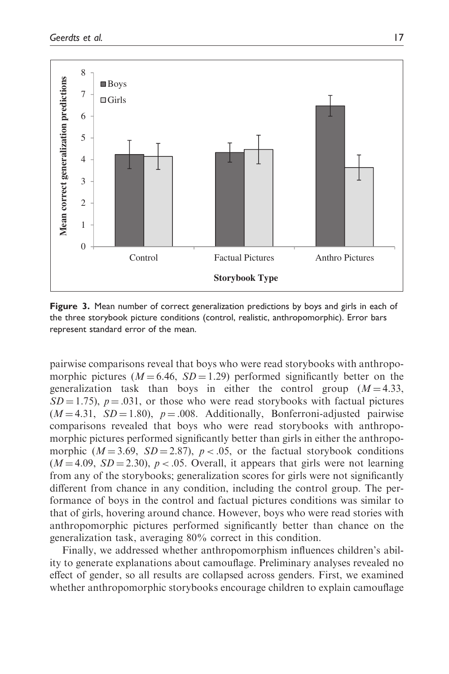

Figure 3. Mean number of correct generalization predictions by boys and girls in each of the three storybook picture conditions (control, realistic, anthropomorphic). Error bars represent standard error of the mean.

pairwise comparisons reveal that boys who were read storybooks with anthropomorphic pictures  $(M = 6.46, SD = 1.29)$  performed significantly better on the generalization task than boys in either the control group  $(M = 4.33$ ,  $SD = 1.75$ ,  $p = .031$ , or those who were read storybooks with factual pictures  $(M = 4.31, SD = 1.80), p = .008. Additionally, Bonferroni-adjusted pairwise$ comparisons revealed that boys who were read storybooks with anthropomorphic pictures performed significantly better than girls in either the anthropomorphic ( $M = 3.69$ ,  $SD = 2.87$ ),  $p < .05$ , or the factual storybook conditions  $(M = 4.09, SD = 2.30), p < .05$ . Overall, it appears that girls were not learning from any of the storybooks; generalization scores for girls were not significantly different from chance in any condition, including the control group. The performance of boys in the control and factual pictures conditions was similar to that of girls, hovering around chance. However, boys who were read stories with anthropomorphic pictures performed significantly better than chance on the generalization task, averaging 80% correct in this condition.

Finally, we addressed whether anthropomorphism influences children's ability to generate explanations about camouflage. Preliminary analyses revealed no effect of gender, so all results are collapsed across genders. First, we examined whether anthropomorphic storybooks encourage children to explain camouflage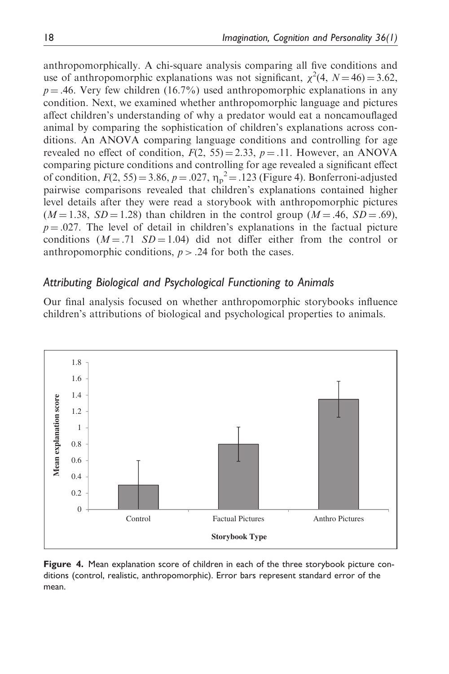anthropomorphically. A chi-square analysis comparing all five conditions and use of anthropomorphic explanations was not significant,  $\chi^2(4, N=46) = 3.62$ ,  $p = .46$ . Very few children (16.7%) used anthropomorphic explanations in any condition. Next, we examined whether anthropomorphic language and pictures affect children's understanding of why a predator would eat a noncamouflaged animal by comparing the sophistication of children's explanations across conditions. An ANOVA comparing language conditions and controlling for age revealed no effect of condition,  $F(2, 55) = 2.33$ ,  $p = .11$ . However, an ANOVA comparing picture conditions and controlling for age revealed a significant effect of condition,  $F(2, 55) = 3.86$ ,  $p = .027$ ,  $\eta_p^2 = .123$  (Figure 4). Bonferroni-adjusted pairwise comparisons revealed that children's explanations contained higher level details after they were read a storybook with anthropomorphic pictures  $(M = 1.38, SD = 1.28)$  than children in the control group  $(M = .46, SD = .69)$ ,  $p = .027$ . The level of detail in children's explanations in the factual picture conditions  $(M = .71 \text{ } SD = 1.04)$  did not differ either from the control or anthropomorphic conditions,  $p > .24$  for both the cases.

## Attributing Biological and Psychological Functioning to Animals

Our final analysis focused on whether anthropomorphic storybooks influence children's attributions of biological and psychological properties to animals.



Figure 4. Mean explanation score of children in each of the three storybook picture conditions (control, realistic, anthropomorphic). Error bars represent standard error of the mean.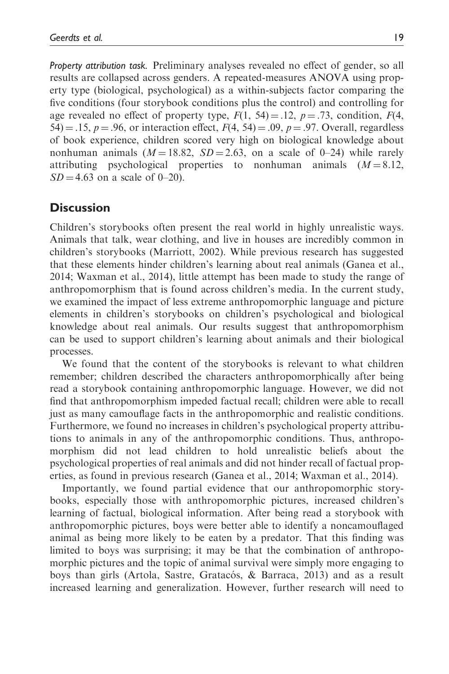Property attribution task. Preliminary analyses revealed no effect of gender, so all results are collapsed across genders. A repeated-measures ANOVA using property type (biological, psychological) as a within-subjects factor comparing the five conditions (four storybook conditions plus the control) and controlling for age revealed no effect of property type,  $F(1, 54) = .12$ ,  $p = .73$ , condition,  $F(4, 54) = .12$ 54) = .15,  $p = .96$ , or interaction effect,  $F(4, 54) = .09$ ,  $p = .97$ . Overall, regardless of book experience, children scored very high on biological knowledge about nonhuman animals ( $M = 18.82$ ,  $SD = 2.63$ , on a scale of 0–24) while rarely attributing psychological properties to nonhuman animals  $(M = 8.12)$ ,  $SD = 4.63$  on a scale of 0–20).

#### **Discussion**

Children's storybooks often present the real world in highly unrealistic ways. Animals that talk, wear clothing, and live in houses are incredibly common in children's storybooks (Marriott, 2002). While previous research has suggested that these elements hinder children's learning about real animals (Ganea et al., 2014; Waxman et al., 2014), little attempt has been made to study the range of anthropomorphism that is found across children's media. In the current study, we examined the impact of less extreme anthropomorphic language and picture elements in children's storybooks on children's psychological and biological knowledge about real animals. Our results suggest that anthropomorphism can be used to support children's learning about animals and their biological processes.

We found that the content of the storybooks is relevant to what children remember; children described the characters anthropomorphically after being read a storybook containing anthropomorphic language. However, we did not find that anthropomorphism impeded factual recall; children were able to recall just as many camouflage facts in the anthropomorphic and realistic conditions. Furthermore, we found no increases in children's psychological property attributions to animals in any of the anthropomorphic conditions. Thus, anthropomorphism did not lead children to hold unrealistic beliefs about the psychological properties of real animals and did not hinder recall of factual properties, as found in previous research (Ganea et al., 2014; Waxman et al., 2014).

Importantly, we found partial evidence that our anthropomorphic storybooks, especially those with anthropomorphic pictures, increased children's learning of factual, biological information. After being read a storybook with anthropomorphic pictures, boys were better able to identify a noncamouflaged animal as being more likely to be eaten by a predator. That this finding was limited to boys was surprising; it may be that the combination of anthropomorphic pictures and the topic of animal survival were simply more engaging to boys than girls (Artola, Sastre, Gratacós, & Barraca, 2013) and as a result increased learning and generalization. However, further research will need to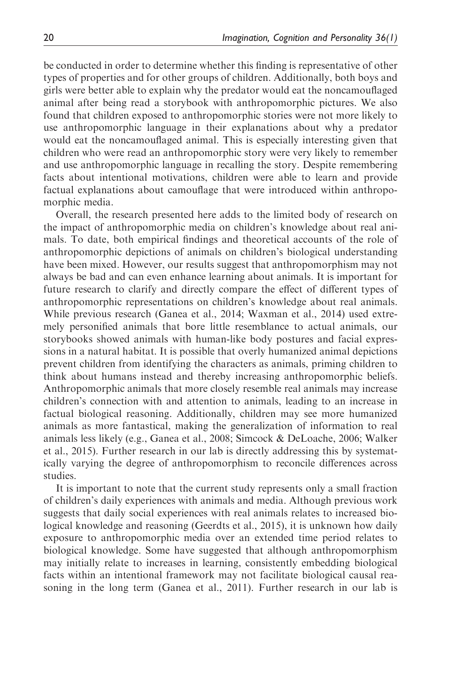be conducted in order to determine whether this finding is representative of other types of properties and for other groups of children. Additionally, both boys and girls were better able to explain why the predator would eat the noncamouflaged animal after being read a storybook with anthropomorphic pictures. We also found that children exposed to anthropomorphic stories were not more likely to use anthropomorphic language in their explanations about why a predator would eat the noncamouflaged animal. This is especially interesting given that children who were read an anthropomorphic story were very likely to remember and use anthropomorphic language in recalling the story. Despite remembering facts about intentional motivations, children were able to learn and provide factual explanations about camouflage that were introduced within anthropomorphic media.

Overall, the research presented here adds to the limited body of research on the impact of anthropomorphic media on children's knowledge about real animals. To date, both empirical findings and theoretical accounts of the role of anthropomorphic depictions of animals on children's biological understanding have been mixed. However, our results suggest that anthropomorphism may not always be bad and can even enhance learning about animals. It is important for future research to clarify and directly compare the effect of different types of anthropomorphic representations on children's knowledge about real animals. While previous research (Ganea et al., 2014; Waxman et al., 2014) used extremely personified animals that bore little resemblance to actual animals, our storybooks showed animals with human-like body postures and facial expressions in a natural habitat. It is possible that overly humanized animal depictions prevent children from identifying the characters as animals, priming children to think about humans instead and thereby increasing anthropomorphic beliefs. Anthropomorphic animals that more closely resemble real animals may increase children's connection with and attention to animals, leading to an increase in factual biological reasoning. Additionally, children may see more humanized animals as more fantastical, making the generalization of information to real animals less likely (e.g., Ganea et al., 2008; Simcock & DeLoache, 2006; Walker et al., 2015). Further research in our lab is directly addressing this by systematically varying the degree of anthropomorphism to reconcile differences across studies.

It is important to note that the current study represents only a small fraction of children's daily experiences with animals and media. Although previous work suggests that daily social experiences with real animals relates to increased biological knowledge and reasoning (Geerdts et al., 2015), it is unknown how daily exposure to anthropomorphic media over an extended time period relates to biological knowledge. Some have suggested that although anthropomorphism may initially relate to increases in learning, consistently embedding biological facts within an intentional framework may not facilitate biological causal reasoning in the long term (Ganea et al., 2011). Further research in our lab is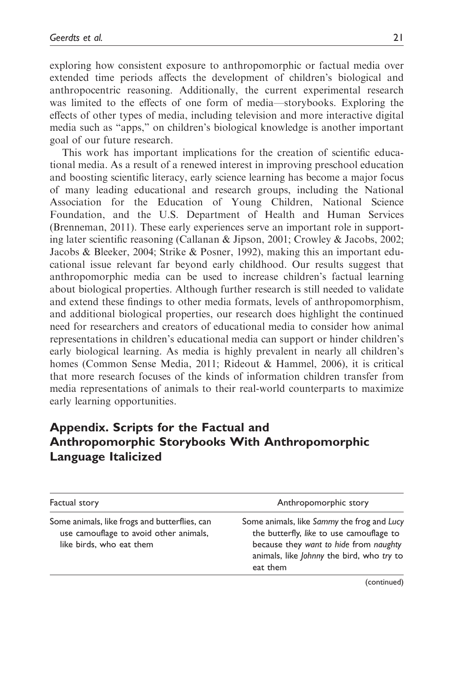exploring how consistent exposure to anthropomorphic or factual media over extended time periods affects the development of children's biological and anthropocentric reasoning. Additionally, the current experimental research was limited to the effects of one form of media—storybooks. Exploring the effects of other types of media, including television and more interactive digital media such as "apps," on children's biological knowledge is another important goal of our future research.

This work has important implications for the creation of scientific educational media. As a result of a renewed interest in improving preschool education and boosting scientific literacy, early science learning has become a major focus of many leading educational and research groups, including the National Association for the Education of Young Children, National Science Foundation, and the U.S. Department of Health and Human Services (Brenneman, 2011). These early experiences serve an important role in supporting later scientific reasoning (Callanan & Jipson, 2001; Crowley & Jacobs, 2002; Jacobs & Bleeker, 2004; Strike & Posner, 1992), making this an important educational issue relevant far beyond early childhood. Our results suggest that anthropomorphic media can be used to increase children's factual learning about biological properties. Although further research is still needed to validate and extend these findings to other media formats, levels of anthropomorphism, and additional biological properties, our research does highlight the continued need for researchers and creators of educational media to consider how animal representations in children's educational media can support or hinder children's early biological learning. As media is highly prevalent in nearly all children's homes (Common Sense Media, 2011; Rideout & Hammel, 2006), it is critical that more research focuses of the kinds of information children transfer from media representations of animals to their real-world counterparts to maximize early learning opportunities.

## Appendix. Scripts for the Factual and Anthropomorphic Storybooks With Anthropomorphic Language Italicized

| Factual story                                                                                                       | Anthropomorphic story                                                                                                                                                                     |
|---------------------------------------------------------------------------------------------------------------------|-------------------------------------------------------------------------------------------------------------------------------------------------------------------------------------------|
| Some animals, like frogs and butterflies, can<br>use camouflage to avoid other animals,<br>like birds, who eat them | Some animals, like Sammy the frog and Lucy<br>the butterfly, like to use camouflage to<br>because they want to hide from naughty<br>animals, like Johnny the bird, who try to<br>eat them |

(continued)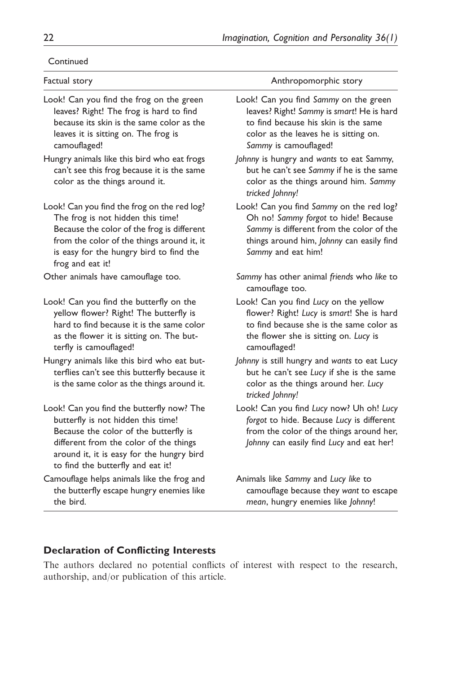**Continued** 

Factual story **Anthropomorphic story Anthropomorphic story** Look! Can you find the frog on the green leaves? Right! The frog is hard to find because its skin is the same color as the leaves it is sitting on. The frog is camouflaged! Look! Can you find Sammy on the green leaves? Right! Sammy is smart! He is hard to find because his skin is the same color as the leaves he is sitting on. Sammy is camouflaged! Hungry animals like this bird who eat frogs can't see this frog because it is the same color as the things around it. Johnny is hungry and wants to eat Sammy, but he can't see Sammy if he is the same color as the things around him. Sammy tricked Johnny! Look! Can you find the frog on the red log? The frog is not hidden this time! Because the color of the frog is different from the color of the things around it, it is easy for the hungry bird to find the frog and eat it! Look! Can you find Sammy on the red log? Oh no! Sammy forgot to hide! Because Sammy is different from the color of the things around him, Johnny can easily find Sammy and eat him! Other animals have camouflage too. Sammy has other animal friends who like to camouflage too. Look! Can you find the butterfly on the yellow flower? Right! The butterfly is hard to find because it is the same color as the flower it is sitting on. The butterfly is camouflaged! Look! Can you find Lucy on the yellow flower? Right! Lucy is smart! She is hard to find because she is the same color as the flower she is sitting on. Lucy is camouflaged! Hungry animals like this bird who eat butterflies can't see this butterfly because it is the same color as the things around it. Johnny is still hungry and wants to eat Lucy but he can't see Lucy if she is the same color as the things around her. Lucy tricked Johnny! Look! Can you find the butterfly now? The butterfly is not hidden this time! Because the color of the butterfly is different from the color of the things around it, it is easy for the hungry bird to find the butterfly and eat it! Look! Can you find Lucy now? Uh oh! Lucy forgot to hide. Because Lucy is different from the color of the things around her, Johnny can easily find Lucy and eat her! Camouflage helps animals like the frog and the butterfly escape hungry enemies like the bird. Animals like Sammy and Lucy like to camouflage because they want to escape mean, hungry enemies like Johnny!

#### Declaration of Conflicting Interests

The authors declared no potential conflicts of interest with respect to the research, authorship, and/or publication of this article.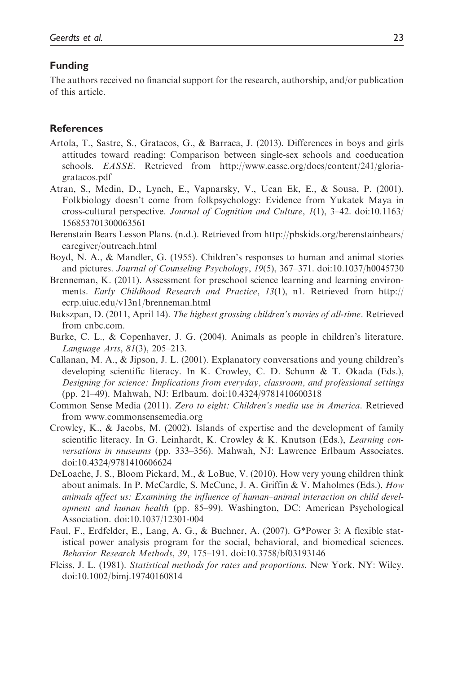#### Funding

The authors received no financial support for the research, authorship, and/or publication of this article.

#### References

- Artola, T., Sastre, S., Gratacos, G., & Barraca, J. (2013). Differences in boys and girls attitudes toward reading: Comparison between single-sex schools and coeducation schools. EASSE. Retrieved from http://www.easse.org/docs/content/241/gloriagratacos.pdf
- Atran, S., Medin, D., Lynch, E., Vapnarsky, V., Ucan Ek, E., & Sousa, P. (2001). Folkbiology doesn't come from folkpsychology: Evidence from Yukatek Maya in cross-cultural perspective. Journal of Cognition and Culture, 1(1), 3–42. doi:10.1163/ 156853701300063561
- Berenstain Bears Lesson Plans. (n.d.). Retrieved from http://pbskids.org/berenstainbears/ caregiver/outreach.html
- Boyd, N. A., & Mandler, G. (1955). Children's responses to human and animal stories and pictures. Journal of Counseling Psychology, 19(5), 367–371. doi:10.1037/h0045730
- Brenneman, K. (2011). Assessment for preschool science learning and learning environments. *Early Childhood Research and Practice*,  $13(1)$ , n1. Retrieved from http:// ecrp.uiuc.edu/v13n1/brenneman.html
- Bukszpan, D. (2011, April 14). The highest grossing children's movies of all-time. Retrieved from cnbc.com.
- Burke, C. L., & Copenhaver, J. G. (2004). Animals as people in children's literature. Language Arts, 81(3), 205–213.
- Callanan, M. A., & Jipson, J. L. (2001). Explanatory conversations and young children's developing scientific literacy. In K. Crowley, C. D. Schunn & T. Okada (Eds.), Designing for science: Implications from everyday, classroom, and professional settings (pp. 21–49). Mahwah, NJ: Erlbaum. doi:10.4324/9781410600318
- Common Sense Media (2011). Zero to eight: Children's media use in America. Retrieved from www.commonsensemedia.org
- Crowley, K., & Jacobs, M. (2002). Islands of expertise and the development of family scientific literacy. In G. Leinhardt, K. Crowley & K. Knutson (Eds.), Learning conversations in museums (pp. 333–356). Mahwah, NJ: Lawrence Erlbaum Associates. doi:10.4324/9781410606624
- DeLoache, J. S., Bloom Pickard, M., & LoBue, V. (2010). How very young children think about animals. In P. McCardle, S. McCune, J. A. Griffin & V. Maholmes (Eds.), How animals affect us: Examining the influence of human–animal interaction on child development and human health (pp. 85–99). Washington, DC: American Psychological Association. doi:10.1037/12301-004
- Faul, F., Erdfelder, E., Lang, A. G., & Buchner, A. (2007). G\*Power 3: A flexible statistical power analysis program for the social, behavioral, and biomedical sciences. Behavior Research Methods, 39, 175–191. doi:10.3758/bf03193146
- Fleiss, J. L. (1981). Statistical methods for rates and proportions. New York, NY: Wiley. doi:10.1002/bimj.19740160814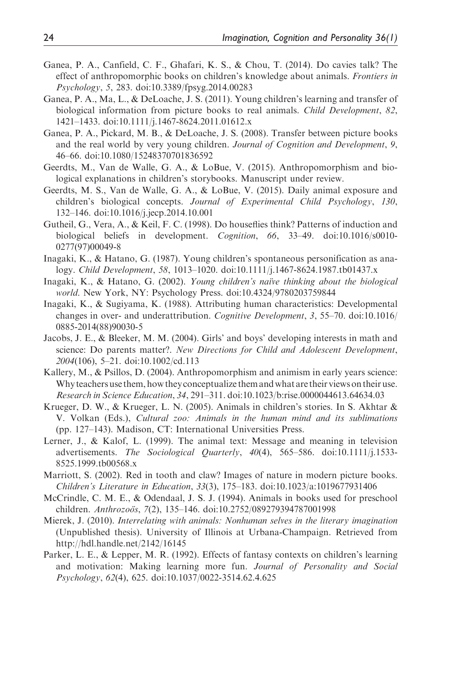- Ganea, P. A., Canfield, C. F., Ghafari, K. S., & Chou, T. (2014). Do cavies talk? The effect of anthropomorphic books on children's knowledge about animals. Frontiers in Psychology, 5, 283. doi:10.3389/fpsyg.2014.00283
- Ganea, P. A., Ma, L., & DeLoache, J. S. (2011). Young children's learning and transfer of biological information from picture books to real animals. Child Development, 82, 1421–1433. doi:10.1111/j.1467-8624.2011.01612.x
- Ganea, P. A., Pickard, M. B., & DeLoache, J. S. (2008). Transfer between picture books and the real world by very young children. Journal of Cognition and Development, 9, 46–66. doi:10.1080/15248370701836592
- Geerdts, M., Van de Walle, G. A., & LoBue, V. (2015). Anthropomorphism and biological explanations in children's storybooks. Manuscript under review.
- Geerdts, M. S., Van de Walle, G. A., & LoBue, V. (2015). Daily animal exposure and children's biological concepts. Journal of Experimental Child Psychology, 130, 132–146. doi:10.1016/j.jecp.2014.10.001
- Gutheil, G., Vera, A., & Keil, F. C. (1998). Do houseflies think? Patterns of induction and biological beliefs in development. Cognition, 66, 33–49. doi:10.1016/s0010- 0277(97)00049-8
- Inagaki, K., & Hatano, G. (1987). Young children's spontaneous personification as analogy. Child Development, 58, 1013–1020. doi:10.1111/j.1467-8624.1987.tb01437.x
- Inagaki, K.,  $\&$  Hatano, G. (2002). Young children's naive thinking about the biological world. New York, NY: Psychology Press. doi:10.4324/9780203759844
- Inagaki, K., & Sugiyama, K. (1988). Attributing human characteristics: Developmental changes in over- and underattribution. Cognitive Development, 3, 55–70. doi:10.1016/ 0885-2014(88)90030-5
- Jacobs, J. E., & Bleeker, M. M. (2004). Girls' and boys' developing interests in math and science: Do parents matter?. New Directions for Child and Adolescent Development, 2004(106), 5–21. doi:10.1002/cd.113
- Kallery, M., & Psillos, D. (2004). Anthropomorphism and animism in early years science: Why teachers use them, how they conceptualize them and what are their views on their use. Research in Science Education, 34, 291–311. doi:10.1023/b:rise.0000044613.64634.03
- Krueger, D. W., & Krueger, L. N. (2005). Animals in children's stories. In S. Akhtar & V. Volkan (Eds.), Cultural zoo: Animals in the human mind and its sublimations (pp. 127–143). Madison, CT: International Universities Press.
- Lerner, J., & Kalof, L. (1999). The animal text: Message and meaning in television advertisements. The Sociological Quarterly, 40(4), 565–586. doi:10.1111/j.1533- 8525.1999.tb00568.x
- Marriott, S. (2002). Red in tooth and claw? Images of nature in modern picture books. Children's Literature in Education, 33(3), 175–183. doi:10.1023/a:1019677931406
- McCrindle, C. M. E., & Odendaal, J. S. J. (1994). Animals in books used for preschool children. Anthrozoös, 7(2), 135–146. doi:10.2752/089279394787001998
- Mierek, J. (2010). Interrelating with animals: Nonhuman selves in the literary imagination (Unpublished thesis). University of Illinois at Urbana-Champaign. Retrieved from http://hdl.handle.net/2142/16145
- Parker, L. E., & Lepper, M. R. (1992). Effects of fantasy contexts on children's learning and motivation: Making learning more fun. Journal of Personality and Social Psychology, 62(4), 625. doi:10.1037/0022-3514.62.4.625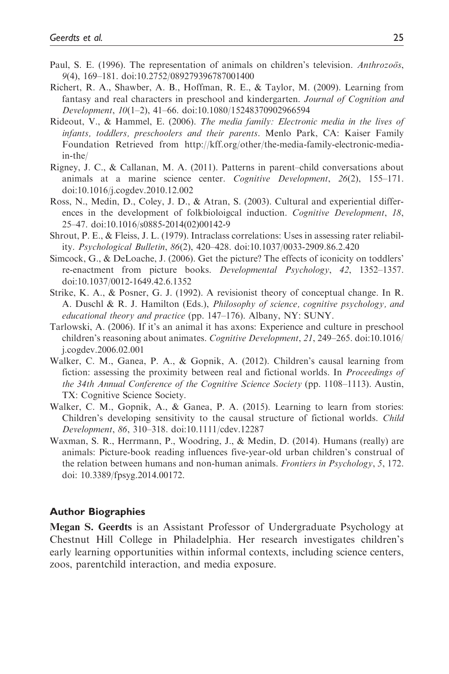- Paul, S. E. (1996). The representation of animals on children's television. Anthrozoös, 9(4), 169–181. doi:10.2752/089279396787001400
- Richert, R. A., Shawber, A. B., Hoffman, R. E., & Taylor, M. (2009). Learning from fantasy and real characters in preschool and kindergarten. Journal of Cognition and Development, 10(1–2), 41–66. doi:10.1080/15248370902966594
- Rideout, V., & Hammel, E. (2006). The media family: Electronic media in the lives of infants, toddlers, preschoolers and their parents. Menlo Park, CA: Kaiser Family Foundation Retrieved from http://kff.org/other/the-media-family-electronic-mediain-the/
- Rigney, J. C., & Callanan, M. A. (2011). Patterns in parent–child conversations about animals at a marine science center. Cognitive Development, 26(2), 155–171. doi:10.1016/j.cogdev.2010.12.002
- Ross, N., Medin, D., Coley, J. D., & Atran, S. (2003). Cultural and experiential differences in the development of folkbioloigcal induction. Cognitive Development, 18, 25–47. doi:10.1016/s0885-2014(02)00142-9
- Shrout, P. E., & Fleiss, J. L. (1979). Intraclass correlations: Uses in assessing rater reliability. Psychological Bulletin, 86(2), 420–428. doi:10.1037/0033-2909.86.2.420
- Simcock, G., & DeLoache, J. (2006). Get the picture? The effects of iconicity on toddlers' re-enactment from picture books. Developmental Psychology, 42, 1352–1357. doi:10.1037/0012-1649.42.6.1352
- Strike, K. A., & Posner, G. J. (1992). A revisionist theory of conceptual change. In R. A. Duschl & R. J. Hamilton (Eds.), *Philosophy of science, cognitive psychology, and* educational theory and practice (pp. 147–176). Albany, NY: SUNY.
- Tarlowski, A. (2006). If it's an animal it has axons: Experience and culture in preschool children's reasoning about animates. Cognitive Development, 21, 249–265. doi:10.1016/ j.cogdev.2006.02.001
- Walker, C. M., Ganea, P. A., & Gopnik, A. (2012). Children's causal learning from fiction: assessing the proximity between real and fictional worlds. In Proceedings of the 34th Annual Conference of the Cognitive Science Society (pp. 1108–1113). Austin, TX: Cognitive Science Society.
- Walker, C. M., Gopnik, A., & Ganea, P. A. (2015). Learning to learn from stories: Children's developing sensitivity to the causal structure of fictional worlds. Child Development, 86, 310–318. doi:10.1111/cdev.12287
- Waxman, S. R., Herrmann, P., Woodring, J., & Medin, D. (2014). Humans (really) are animals: Picture-book reading influences five-year-old urban children's construal of the relation between humans and non-human animals. Frontiers in Psychology, 5, 172. doi: 10.3389/fpsyg.2014.00172.

#### Author Biographies

Megan S. Geerdts is an Assistant Professor of Undergraduate Psychology at Chestnut Hill College in Philadelphia. Her research investigates children's early learning opportunities within informal contexts, including science centers, zoos, parentchild interaction, and media exposure.